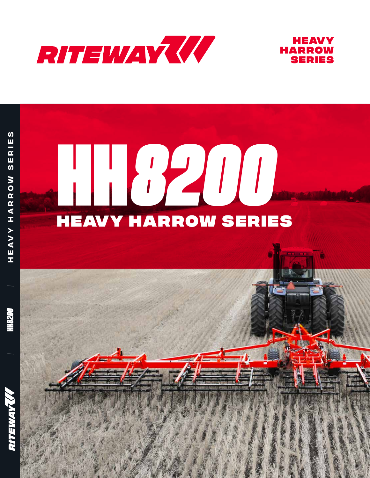



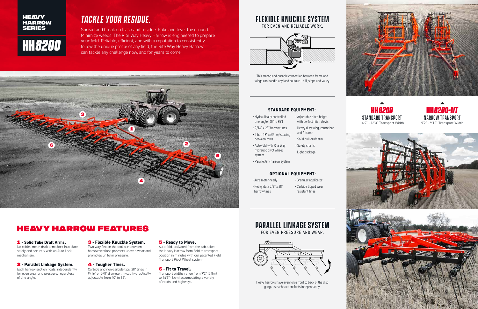### *Tackle your residue.*

Spread and break up trash and residue. Rake and level the ground. Minimize weeds. The Rite Way Heavy Harrow is engineered to prepare your field. Reliable, efficient, and with a reputation to consistently follow the unique profile of any field, the Rite Way Heavy Harrow can tackle any challenge now, and for years to come.

### Heavy Harrow Features

#### 1 **- Solid Tube Draft Arms.** No cables mean draft arms lock into place safely and securely with an Auto Lock

mechanism.

#### 2 **- Parallel Linkage System.**  Each harrow section floats independently for even wear and pressure, regardless

of tine angle.

#### **HEAVY HARROW** SERIES

#### 3 **- Flexible Knuckle System.**

Two-way flex on the tool bar between harrow sections prevents uneven wear and promotes uniform pressure.

#### 4 **- Tougher Tines.**

Carbide and non-carbide tips, 28" tines in 9/16" or 5/8" diameter; In-cab hydraulically adjustable from 40° to 85°.

#### 5 **- Ready to Move.**

Auto-fold, activated from the cab, takes the Heavy Harrow from field to transport position in minutes with our patented Field Transport Pivot Wheel system.

#### 6 **- Fit to Travel.**

Transport widths range from 9'2" (2.8m) to 14'6" (3.4m) accomodating a variety of roads and highways.

# **HH***8200*

### **Flexible knuckle system** FOR EVEN AND RELIABLE WORK.



This strong and durable connection between frame and wings can handle any land coutour – hill, slope and valley.

## **Parallel Linkage System**

FOR EVEN PRESSURE AND WEAR.



Heavy harrows have even force front to back of the disc gangs as each section floats independantly.



- Hydraulically controlled tine angle (40° to 85°)
- $\cdot$  9/16" x 28" harrow tines • 5-bar, 18" (460mm) spacing
- between rows
- Auto-fold with Rite Way hydraulic pivot wheel system
- and A-frame • Solid pull draft arm

• Adjustable hitch height with perfect hitch clevis • Heavy duty wing, centre bar

- Safety chains
- Light package
- Parallel link harrow system

#### **STANDARD EQUIPMENT:**

• Acre meter-ready

- Granular applicator
- Heavy duty 5/8" x 28" harrow tines
- 
- Carbide tipped wear resistant tines

#### **OPTIONAL EQUIPMENT:**